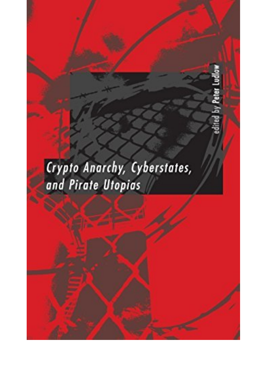## Crypto Anarchy, Cyberstates, and Pirate Utopias

Peter Ludlow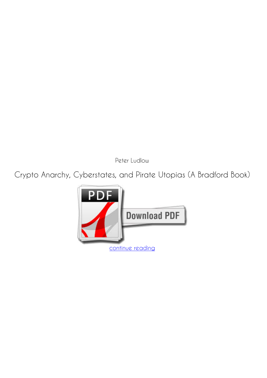*Peter Ludlow*

**Crypto Anarchy, Cyberstates, and Pirate Utopias (A Bradford Book)**

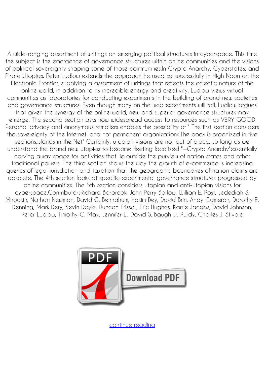A wide-ranging assortment of writings on emerging political structures in cyberspace. This time the subject is the emergence of governance structures within online communities and the visions of political sovereignty shaping some of those communities.In Crypto Anarchy, Cyberstates, and Pirate Utopias, Peter Ludlow extends the approach he used so successfully in High Noon on the Electronic Frontier, supplying a assortment of writings that reflects the eclectic nature of the online world, in addition to its incredible energy and creativity. Ludlow views virtual communities as laboratories for conducting experiments in the building of brand-new societies and governance structures. Even though many on the web experiments will fail, Ludlow argues that given the synergy of the online world, new and superior governance structures may emerge. The second section asks how widespread access to resources such as VERY GOOD Personal privacy and anonymous remailers enables the possibility of " The first section considers the sovereignty of the Internet. and not permanent organizations.The book is organized in five sections.islands in the Net" Certainly, utopian visions are not out of place, so long as we understand the brand new utopias to become fleeting localized "—Crypto Anarchy"essentially carving away space for activities that lie outside the purview of nation states and other traditional powers. The third section shows the way the growth of e-commerce is increasing queries of legal jurisdiction and taxation that the geographic boundaries of nation-claims are obsolete. The 4th section looks at specific experimental governance structures progressed by online communities. The 5th section considers utopian and anti-utopian visions for cyberspace.ContributorsRichard Barbrook, John Perry Barlow, William E. Post, Jedediah S. Mnookin, Nathan Newman, David G. Bennahum, Hakim Bey, David Brin, Andy Cameron, Dorothy E. Denning, Mark Dery, Kevin Doyle, Duncan Frissell, Eric Hughes, Karrie Jacobs, David Johnson, Peter Ludlow, Timothy C. May, Jennifer L., David S. Baugh Jr. Purdy, Charles J. Stivale



[continue reading](http://bit.ly/2Tge8Fv)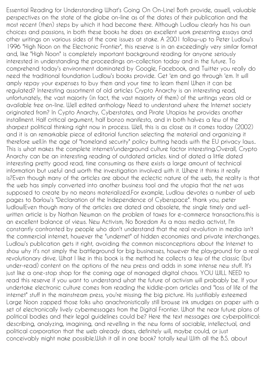Essential Reading for Understanding What's Going On On-Line! Both provide, aswell, valuable perspectives on the state of the globe on-line as of the dates of their publication and the most recent (then) steps by which it had become there. Although Ludlow clearly has his own choices and passions, in both these books he does an excellent work presenting essays and other writings on various sides of the core issues at stake. A 2001 follow-up to Peter Ludlow's 1996 "High Noon on the Electronic Frontier", this reserve is in an exceedingly very similar format and, like "High Noon" is completely important background reading for anyone seriously interested in understanding the proceedings on-collection today and in the future. To comprehend today's environment dominated by Google, Facebook, and Twitter you really do need the traditional foundation Ludlow's books provide. Get 'em and go through 'em. It will amply repay your expenses to buy them and your time to learn them! When it can be regulated? Interesting assortment of old articles Crypto Anarchy is an interesting read, unfortunately, the vast majority (in fact, the vast majority of them) of the writings years old or available free on-line. Well edited anthology Need to understand where the Internet society originated from? In Cypto Anarchy, Cyberstates, and Pirate Utopias he provides another installment. Half critical argument, half bonzo manifesto, and in both halves a few of the sharpest political thinking right now in process. Well, this is as close as it comes today (2002) and it is an remarkable piece of editorial function selecting the material and organizing it therefore well.In the age of "homeland security" policy butting heads with the EU privacy laws.. This is what makes the complete internet/underground culture factor interesting.Overall, Crypto Anarchy can be an interesting reading of outdated articles. kind of dated a little dated interesting pretty good read, time consuming as there exists a large amount of technical information but useful and worth the investigation involved with it. Where it thinks it really is?Even though many of the articles are about the eclectic nature of the web, the reality is that the web has simply converted into another business tool and the utopia that the net was supposed to create by no means materialized.For example, Ludlow devotes a number of web pages to Barlow's "Declaration of the Independence of Cyberspace". thank you, peter ludlow!Even though many of the articles are dated and obsolete, the single timely and wellwritten article is by Nathan Newman on the problem of taxes for e-commerce transactions.this is an excellent balance of views. New Activism, No Boredom As a mass media activist, I'm constantly confronted by people who don't understand that the real revolution in media isn't the commercial internet, however the "undernet" of hidden economies and private interchanges. Ludlow's publication gets it right, avoiding the common misconceptions about the Internet to show why it's not simply the battleground for big businesses, however the playground for a real revolutionary drive. What I like in this book is the method he collects a few of the classic (but under-read) content on the options of the new press and adds in some intense new stuff. It's just like a one-stop shop for the coming age of managed digital chaos. YOU WILL NEED to read this reserve if you want to understand what the future of activism will probably be. If your undertake electronic culture comes from reading the kiddie-porn articles and "loss of life of the internet" stuff in the mainstream press, you're missing the big picture. His justifiably esteemed Large Noon zapped those folks who anachronistically still browse ink smudges on paper with a set of electronically lively cybermessages from the Digital Frontier. What the near future plans of political bodies and their legal guidelines could be? Here the text messages are cyberpolitical: describing, analyzing, imagining, and revelling in the new forms of sociable, intellectual, and political corporation that the web already does, definitely will, maybe could, or just conceivably might make possible.Wish it all in one book? totally kewl With all the B.S. about